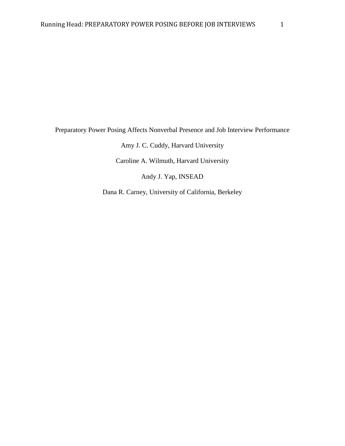Preparatory Power Posing Affects Nonverbal Presence and Job Interview Performance

Amy J. C. Cuddy, Harvard University

Caroline A. Wilmuth, Harvard University

Andy J. Yap, INSEAD

Dana R. Carney, University of California, Berkeley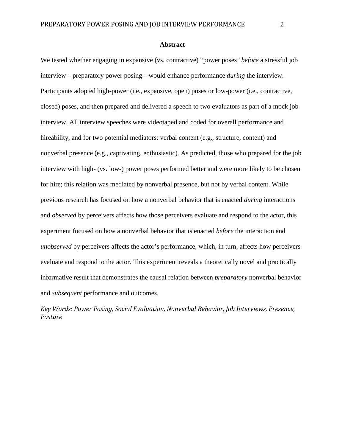#### **Abstract**

We tested whether engaging in expansive (vs. contractive) "power poses" *before* a stressful job interview – preparatory power posing – would enhance performance *during* the interview. Participants adopted high-power (i.e., expansive, open) poses or low-power (i.e., contractive, closed) poses, and then prepared and delivered a speech to two evaluators as part of a mock job interview. All interview speeches were videotaped and coded for overall performance and hireability, and for two potential mediators: verbal content (e.g., structure, content) and nonverbal presence (e.g., captivating, enthusiastic). As predicted, those who prepared for the job interview with high- (vs. low-) power poses performed better and were more likely to be chosen for hire; this relation was mediated by nonverbal presence, but not by verbal content. While previous research has focused on how a nonverbal behavior that is enacted *during* interactions and *observed* by perceivers affects how those perceivers evaluate and respond to the actor, this experiment focused on how a nonverbal behavior that is enacted *before* the interaction and *unobserved* by perceivers affects the actor's performance, which, in turn, affects how perceivers evaluate and respond to the actor. This experiment reveals a theoretically novel and practically informative result that demonstrates the causal relation between *preparatory* nonverbal behavior and *subsequent* performance and outcomes.

*Key Words: Power Posing, Social Evaluation, Nonverbal Behavior, Job Interviews, Presence, Posture*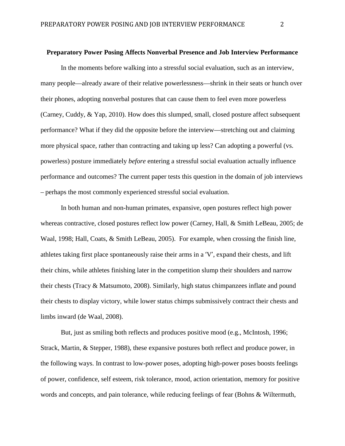#### **Preparatory Power Posing Affects Nonverbal Presence and Job Interview Performance**

<span id="page-2-2"></span><span id="page-2-1"></span><span id="page-2-0"></span>In the moments before walking into a stressful social evaluation, such as an interview, many people—already aware of their relative powerlessness—shrink in their seats or hunch over their phones, adopting nonverbal postures that can cause them to feel even more powerless (Carney, Cuddy, & Yap, 2010). How does this slumped, small, closed posture affect subsequent performance? What if they did the opposite before the interview—stretching out and claiming more physical space, rather than contracting and taking up less? Can adopting a powerful (vs. powerless) posture immediately *before* entering a stressful social evaluation actually influence performance and outcomes? The current paper tests this question in the domain of job interviews – perhaps the most commonly experienced stressful social evaluation.

In both human and non-human primates, expansive, open postures reflect high power whereas contractive, closed postures reflect low power (Carney, Hall, & Smith LeBeau, 2005; de Waal, 1998; Hall, Coats, & Smith LeBeau, 2005). For example, when crossing the finish line, athletes taking first place spontaneously raise their arms in a 'V', expand their chests, and lift their chins, while athletes finishing later in the competition slump their shoulders and narrow their chests (Tracy & Matsumoto, 2008). Similarly, high status chimpanzees inflate and pound their chests to display victory, while lower status chimps submissively contract their chests and limbs inward (de Waal, 2008).

But, just as smiling both reflects and produces positive mood (e.g., McIntosh, 1996; Strack, Martin, & Stepper, 1988), these expansive postures both reflect and produce power, in the following ways. In contrast to low-power poses, adopting high-power poses boosts feelings of power, confidence, self esteem, risk tolerance, mood, action orientation, memory for positive words and concepts, and pain tolerance, while reducing feelings of fear (Bohns & Wiltermuth,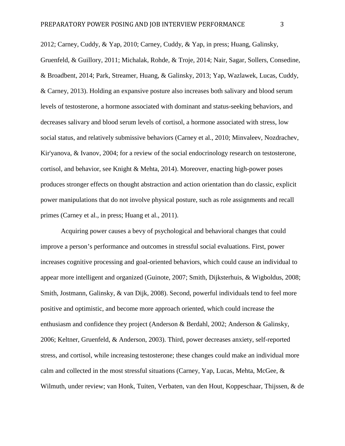2012; Carney, Cuddy, & Yap, 2010; Carney, Cuddy, & Yap, in press; Huang, Galinsky, Gruenfeld, & Guillory, 2011; Michalak, Rohde, & Troje, 2014; Nair, Sagar, Sollers, Consedine, & Broadbent, 2014; Park, Streamer, Huang, & Galinsky, 2013; Yap, Wazlawek, Lucas, Cuddy, & Carney, 2013). Holding an expansive posture also increases both salivary and blood serum levels of testosterone, a hormone associated with dominant and status-seeking behaviors, and decreases salivary and blood serum levels of cortisol, a hormone associated with stress, low social status, and relatively submissive behaviors (Carney et al., 2010; Minvaleev, Nozdrachev, Kir'yanova, & Ivanov, 2004; for a review of the social endocrinology research on testosterone, cortisol, and behavior, see Knight & Mehta, 2014). Moreover, enacting high-power poses produces stronger effects on thought abstraction and action orientation than do classic, explicit power manipulations that do not involve physical posture, such as role assignments and recall primes (Carney et al., in press; Huang et al., 2011).

Acquiring power causes a bevy of psychological and behavioral changes that could improve a person's performance and outcomes in stressful social evaluations. First, power increases cognitive processing and goal-oriented behaviors, which could cause an individual to appear more intelligent and organized (Guinote, 2007; Smith, Dijksterhuis, & Wigboldus, 2008; Smith, Jostmann, Galinsky, & van Dijk, 2008). Second, powerful individuals tend to feel more positive and optimistic, and become more approach oriented, which could increase the enthusiasm and confidence they project (Anderson & Berdahl, 2002; Anderson & Galinsky, 2006; Keltner, Gruenfeld, & Anderson, 2003). Third, power decreases anxiety, self-reported stress, and cortisol, while increasing testosterone; these changes could make an individual more calm and collected in the most stressful situations (Carney, Yap, Lucas, Mehta, McGee, & Wilmuth, under review; van Honk, Tuiten, Verbaten, van den Hout, Koppeschaar, Thijssen, & de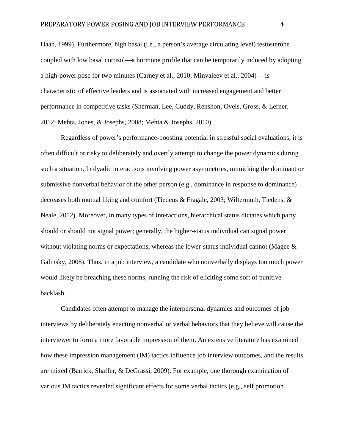Haan, 1999). Furthermore, high basal (i.e., a person's average circulating level) testosterone coupled with low basal cortisol—a hormone profile that can be temporarily induced by adopting a high-power pose for two minutes (Carney et al., 2010; Minvaleev et al., 2004) —is characteristic of effective leaders and is associated with increased engagement and better performance in competitive tasks (Sherman, Lee, Cuddy, Renshon, Oveis, Gross, & Lerner, 2012; Mehta, Jones, & Josephs, 2008; Mehta & Josephs, 2010).

Regardless of power's performance-boosting potential in stressful social evaluations, it is often difficult or risky to deliberately and overtly attempt to change the power dynamics during such a situation. In dyadic interactions involving power asymmetries, mimicking the dominant or submissive nonverbal behavior of the other person (e.g., dominance in response to dominance) decreases both mutual liking and comfort (Tiedens & Fragale, 2003; Wiltermuth, Tiedens, & Neale, 2012). Moreover, in many types of interactions, hierarchical status dictates which party should or should not signal power; generally, the higher-status individual can signal power without violating norms or expectations, whereas the lower-status individual cannot (Magee  $\&$ Galinsky, 2008). Thus, in a job interview, a candidate who nonverbally displays too much power would likely be breaching these norms, running the risk of eliciting some sort of punitive backlash.

Candidates often attempt to manage the interpersonal dynamics and outcomes of job interviews by deliberately enacting nonverbal or verbal behaviors that they believe will cause the interviewer to form a more favorable impression of them. An extensive literature has examined how these impression management (IM) tactics influence job interview outcomes, and the results are mixed (Barrick, Shaffer, & DeGrassi, 2009). For example, one thorough examination of various IM tactics revealed significant effects for some verbal tactics (e.g., self promotion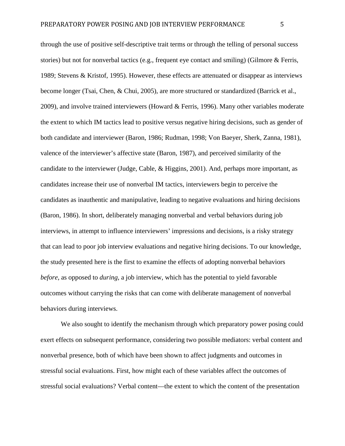through the use of positive self-descriptive trait terms or through the telling of personal success stories) but not for nonverbal tactics (e.g., frequent eye contact and smiling) (Gilmore & Ferris, 1989; Stevens & Kristof, 1995). However, these effects are attenuated or disappear as interviews become longer (Tsai, Chen, & Chui, 2005), are more structured or standardized (Barrick et al., 2009), and involve trained interviewers (Howard & Ferris, 1996). Many other variables moderate the extent to which IM tactics lead to positive versus negative hiring decisions, such as gender of both candidate and interviewer (Baron, 1986; Rudman, 1998; Von Baeyer, Sherk, Zanna, 1981), valence of the interviewer's affective state (Baron, 1987), and perceived similarity of the candidate to the interviewer (Judge, Cable, & Higgins, 2001). And, perhaps more important, as candidates increase their use of nonverbal IM tactics, interviewers begin to perceive the candidates as inauthentic and manipulative, leading to negative evaluations and hiring decisions (Baron, 1986). In short, deliberately managing nonverbal and verbal behaviors during job interviews, in attempt to influence interviewers' impressions and decisions, is a risky strategy that can lead to poor job interview evaluations and negative hiring decisions. To our knowledge, the study presented here is the first to examine the effects of adopting nonverbal behaviors *before*, as opposed to *during*, a job interview, which has the potential to yield favorable outcomes without carrying the risks that can come with deliberate management of nonverbal behaviors during interviews.

We also sought to identify the mechanism through which preparatory power posing could exert effects on subsequent performance, considering two possible mediators: verbal content and nonverbal presence, both of which have been shown to affect judgments and outcomes in stressful social evaluations. First, how might each of these variables affect the outcomes of stressful social evaluations? Verbal content—the extent to which the content of the presentation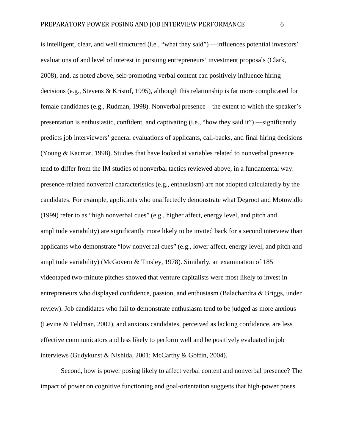is intelligent, clear, and well structured (i.e., "what they said") —influences potential investors' evaluations of and level of interest in pursuing entrepreneurs' investment proposals (Clark, 2008), and, as noted above, self-promoting verbal content can positively influence hiring decisions (e.g., Stevens & Kristof, 1995), although this relationship is far more complicated for female candidates (e.g., Rudman, 1998). Nonverbal presence—the extent to which the speaker's presentation is enthusiastic, confident, and captivating (i.e., "how they said it") —significantly predicts job interviewers' general evaluations of applicants, call-backs, and final hiring decisions (Young & Kacmar, 1998). Studies that have looked at variables related to nonverbal presence tend to differ from the IM studies of nonverbal tactics reviewed above, in a fundamental way: presence-related nonverbal characteristics (e.g., enthusiasm) are not adopted calculatedly by the candidates. For example, applicants who unaffectedly demonstrate what Degroot and Motowidlo (1999) refer to as "high nonverbal cues" (e.g., higher affect, energy level, and pitch and amplitude variability) are significantly more likely to be invited back for a second interview than applicants who demonstrate "low nonverbal cues" (e.g., lower affect, energy level, and pitch and amplitude variability) (McGovern & Tinsley, 1978). Similarly, an examination of 185 videotaped two-minute pitches showed that venture capitalists were most likely to invest in entrepreneurs who displayed confidence, passion, and enthusiasm (Balachandra & Briggs, under review). Job candidates who fail to demonstrate enthusiasm tend to be judged as more anxious (Levine & Feldman, 2002), and anxious candidates, perceived as lacking confidence, are less effective communicators and less likely to perform well and be positively evaluated in job interviews (Gudykunst & Nishida, 2001; McCarthy & Goffin, 2004).

Second, how is power posing likely to affect verbal content and nonverbal presence? The impact of power on cognitive functioning and goal-orientation suggests that high-power poses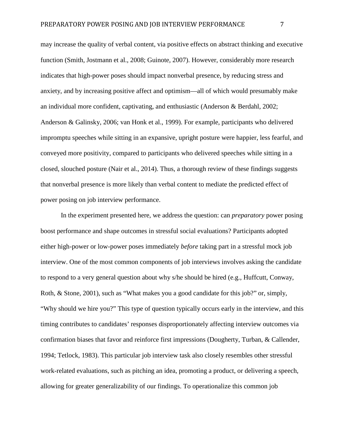may increase the quality of verbal content, via positive effects on abstract thinking and executive function (Smith, Jostmann et al., 2008; Guinote, 2007). However, considerably more research indicates that high-power poses should impact nonverbal presence, by reducing stress and anxiety, and by increasing positive affect and optimism—all of which would presumably make an individual more confident, captivating, and enthusiastic (Anderson & Berdahl, 2002; Anderson & Galinsky, 2006; van Honk et al., 1999). For example, participants who delivered impromptu speeches while sitting in an expansive, upright posture were happier, less fearful, and conveyed more positivity, compared to participants who delivered speeches while sitting in a closed, slouched posture (Nair et al., 2014). Thus, a thorough review of these findings suggests that nonverbal presence is more likely than verbal content to mediate the predicted effect of power posing on job interview performance.

In the experiment presented here, we address the question: can *preparatory* power posing boost performance and shape outcomes in stressful social evaluations? Participants adopted either high-power or low-power poses immediately *before* taking part in a stressful mock job interview. One of the most common components of job interviews involves asking the candidate to respond to a very general question about why s/he should be hired (e.g., Huffcutt, Conway, Roth, & Stone, 2001), such as "What makes you a good candidate for this job?" or, simply, "Why should we hire you?" This type of question typically occurs early in the interview, and this timing contributes to candidates' responses disproportionately affecting interview outcomes via confirmation biases that favor and reinforce first impressions (Dougherty, Turban, & Callender, 1994; Tetlock, 1983). This particular job interview task also closely resembles other stressful work-related evaluations, such as pitching an idea, promoting a product, or delivering a speech, allowing for greater generalizability of our findings. To operationalize this common job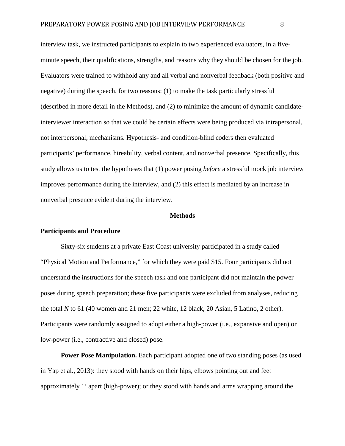interview task, we instructed participants to explain to two experienced evaluators, in a fiveminute speech, their qualifications, strengths, and reasons why they should be chosen for the job. Evaluators were trained to withhold any and all verbal and nonverbal feedback (both positive and negative) during the speech, for two reasons: (1) to make the task particularly stressful (described in more detail in the Methods), and (2) to minimize the amount of dynamic candidateinterviewer interaction so that we could be certain effects were being produced via intrapersonal, not interpersonal, mechanisms. Hypothesis- and condition-blind coders then evaluated participants' performance, hireability, verbal content, and nonverbal presence. Specifically, this study allows us to test the hypotheses that (1) power posing *before* a stressful mock job interview improves performance during the interview, and (2) this effect is mediated by an increase in nonverbal presence evident during the interview.

#### **Methods**

#### **Participants and Procedure**

Sixty-six students at a private East Coast university participated in a study called "Physical Motion and Performance," for which they were paid \$15. Four participants did not understand the instructions for the speech task and one participant did not maintain the power poses during speech preparation; these five participants were excluded from analyses, reducing the total *N* to 61 (40 women and 21 men; 22 white, 12 black, 20 Asian, 5 Latino, 2 other). Participants were randomly assigned to adopt either a high-power (i.e., expansive and open) or low-power (i.e., contractive and closed) pose.

**Power Pose Manipulation.** Each participant adopted one of two standing poses (as used in Yap et al., 2013): they stood with hands on their hips, elbows pointing out and feet approximately 1' apart (high-power); or they stood with hands and arms wrapping around the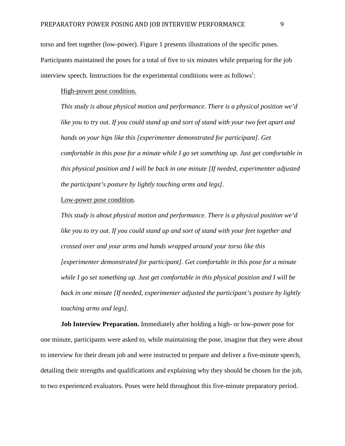torso and feet together (low-power). Figure 1 presents illustrations of the specific poses. Participants maintained the poses for a total of five to six minutes while preparing for the job [i](#page-2-0)nterview speech. Instructions for the experimental conditions were as follows<sup>1</sup>:

High-power pose condition.

*This study is about physical motion and performance. There is a physical position we'd* like you to try out. If you could stand up and sort of stand with your two feet apart and *hands on your hips like this [experimenter demonstrated for participant]. Get comfortable in this pose for a minute while I go set something up. Just get comfortable in this physical position and I will be back in one minute [If needed, experimenter adjusted the participant's posture by lightly touching arms and legs].*

#### Low-power pose condition.

*This study is about physical motion and performance. There is a physical position we'd like you to try out. If you could stand up and sort of stand with your feet together and crossed over and your arms and hands wrapped around your torso like this [experimenter demonstrated for participant]. Get comfortable in this pose for a minute while I go set something up. Just get comfortable in this physical position and I will be back in one minute [If needed, experimenter adjusted the participant's posture by lightly touching arms and legs].*

**Job Interview Preparation.** Immediately after holding a high- or low-power pose for one minute, participants were asked to, while maintaining the pose, imagine that they were about to interview for their dream job and were instructed to prepare and deliver a five-minute speech, detailing their strengths and qualifications and explaining why they should be chosen for the job, to two experienced evaluators. Poses were held throughout this five-minute preparatory period.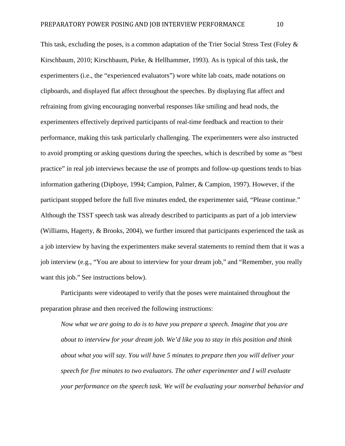This task, excluding the poses, is a common adaptation of the Trier Social Stress Test (Foley & Kirschbaum, 2010; Kirschbaum, Pirke, & Hellhammer, 1993). As is typical of this task, the experimenters (i.e., the "experienced evaluators") wore white lab coats, made notations on clipboards, and displayed flat affect throughout the speeches. By displaying flat affect and refraining from giving encouraging nonverbal responses like smiling and head nods, the experimenters effectively deprived participants of real-time feedback and reaction to their performance, making this task particularly challenging. The experimenters were also instructed to avoid prompting or asking questions during the speeches, which is described by some as "best practice" in real job interviews because the use of prompts and follow-up questions tends to bias information gathering (Dipboye, 1994; Campion, Palmer, & Campion, 1997). However, if the participant stopped before the full five minutes ended, the experimenter said, "Please continue." Although the TSST speech task was already described to participants as part of a job interview (Williams, Hagerty, & Brooks, 2004), we further insured that participants experienced the task as a job interview by having the experimenters make several statements to remind them that it was a job interview (e.g., "You are about to interview for your dream job," and "Remember, you really want this job." See instructions below).

Participants were videotaped to verify that the poses were maintained throughout the preparation phrase and then received the following instructions:

*Now what we are going to do is to have you prepare a speech. Imagine that you are about to interview for your dream job. We'd like you to stay in this position and think about what you will say. You will have 5 minutes to prepare then you will deliver your speech for five minutes to two evaluators. The other experimenter and I will evaluate your performance on the speech task. We will be evaluating your nonverbal behavior and*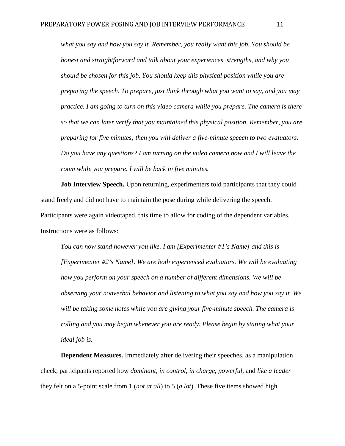*what you say and how you say it. Remember, you really want this job. You should be honest and straightforward and talk about your experiences, strengths, and why you should be chosen for this job. You should keep this physical position while you are preparing the speech. To prepare, just think through what you want to say, and you may practice. I am going to turn on this video camera while you prepare. The camera is there so that we can later verify that you maintained this physical position. Remember, you are preparing for five minutes; then you will deliver a five-minute speech to two evaluators. Do you have any questions? I am turning on the video camera now and I will leave the room while you prepare. I will be back in five minutes.*

**Job Interview Speech.** Upon returning, experimenters told participants that they could stand freely and did not have to maintain the pose during while delivering the speech. Participants were again videotaped, this time to allow for coding of the dependent variables. Instructions were as follows:

*You can now stand however you like. I am [Experimenter #1's Name] and this is [Experimenter #2's Name]. We are both experienced evaluators. We will be evaluating how you perform on your speech on a number of different dimensions. We will be observing your nonverbal behavior and listening to what you say and how you say it. We will be taking some notes while you are giving your five-minute speech. The camera is rolling and you may begin whenever you are ready. Please begin by stating what your ideal job is.*

**Dependent Measures.** Immediately after delivering their speeches, as a manipulation check, participants reported how *dominant, in control, in charge, powerful,* and *like a leader* they felt on a 5-point scale from 1 (*not at all*) to 5 (*a lot*). These five items showed high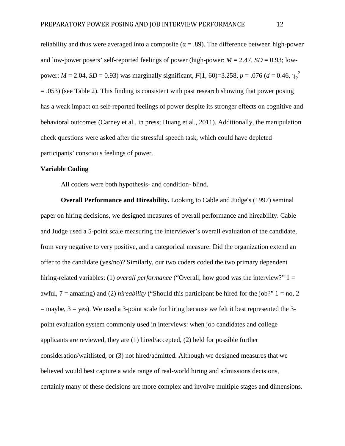reliability and thus were averaged into a composite ( $\alpha = .89$ ). The difference between high-power and low-power posers' self-reported feelings of power (high-power:  $M = 2.47$ ,  $SD = 0.93$ ; lowpower:  $M = 2.04$ ,  $SD = 0.93$ ) was marginally significant,  $F(1, 60) = 3.258$ ,  $p = .076$  ( $d = 0.46$ ,  $\eta_p^2$ )  $=$  .053) (see Table 2). This finding is consistent with past research showing that power posing has a weak impact on self-reported feelings of power despite its stronger effects on cognitive and behavioral outcomes (Carney et al., in press; Huang et al., 2011). Additionally, the manipulation check questions were asked after the stressful speech task, which could have depleted participants' conscious feelings of power.

### **Variable Coding**

All coders were both hypothesis- and condition- blind.

**Overall Performance and Hireability.** Looking to Cable and Judge's (1997) seminal paper on hiring decisions, we designed measures of overall performance and hireability. Cable and Judge used a 5-point scale measuring the interviewer's overall evaluation of the candidate, from very negative to very positive, and a categorical measure: Did the organization extend an offer to the candidate (yes/no)? Similarly, our two coders coded the two primary dependent hiring-related variables: (1) *overall performance* ("Overall, how good was the interview?" 1 = awful,  $7 = \text{amazing}$ ) and (2) *hireability* ("Should this participant be hired for the job?"  $1 = \text{no}$ , 2  $=$  maybe,  $3 =$ yes). We used a 3-point scale for hiring because we felt it best represented the 3point evaluation system commonly used in interviews: when job candidates and college applicants are reviewed, they are (1) hired/accepted, (2) held for possible further consideration/waitlisted, or (3) not hired/admitted. Although we designed measures that we believed would best capture a wide range of real-world hiring and admissions decisions, certainly many of these decisions are more complex and involve multiple stages and dimensions.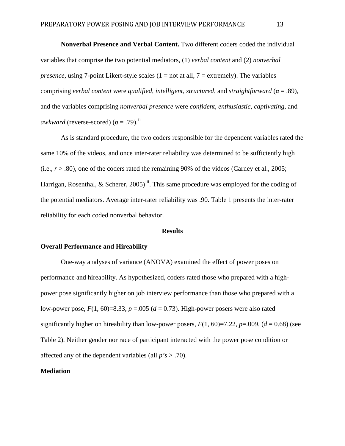**Nonverbal Presence and Verbal Content.** Two different coders coded the individual variables that comprise the two potential mediators, (1) *verbal content* and (2) *nonverbal presence*, using 7-point Likert-style scales  $(1 = not at all, 7 = extremely)$ . The variables comprising *verbal content* were *qualified*, *intelligent*, *structured*, and *straightforward* (α = .89), and the variables comprising *nonverbal presence* were *confident*, *enthusiastic*, *captivating*, and *awkward* (reverse-scored)  $(\alpha = .79)$ .<sup>[ii](#page-2-1)</sup>

As is standard procedure, the two coders responsible for the dependent variables rated the same 10% of the videos, and once inter-rater reliability was determined to be sufficiently high (i.e.,  $r > .80$ ), one of the coders rated the remaining 90% of the videos (Carney et al., 2005; Harrigan, Rosenthal, & Scherer,  $2005$ <sup>iii</sup>. This same procedure was employed for the coding of the potential mediators. Average inter-rater reliability was .90. Table 1 presents the inter-rater reliability for each coded nonverbal behavior.

#### **Results**

#### **Overall Performance and Hireability**

One-way analyses of variance (ANOVA) examined the effect of power poses on performance and hireability. As hypothesized, coders rated those who prepared with a highpower pose significantly higher on job interview performance than those who prepared with a low-power pose,  $F(1, 60) = 8.33$ ,  $p = .005$  ( $d = 0.73$ ). High-power posers were also rated significantly higher on hireability than low-power posers,  $F(1, 60)=7.22$ ,  $p=.009$ ,  $(d = 0.68)$  (see Table 2). Neither gender nor race of participant interacted with the power pose condition or affected any of the dependent variables (all *p's* > .70).

#### **Mediation**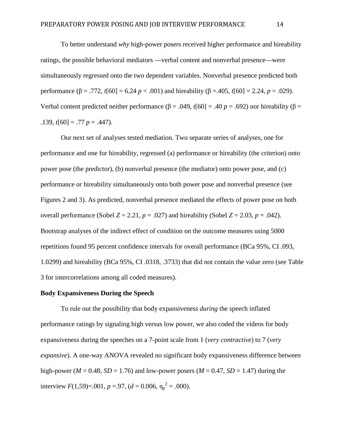To better understand *why* high-power posers received higher performance and hireability ratings, the possible behavioral mediators —verbal content and nonverbal presence—were simultaneously regressed onto the two dependent variables. Nonverbal presence predicted both performance ( $\beta$  = .772, *t*[60] = 6.24 *p* < .001) and hireability ( $\beta$  = .405, *t*[60] = 2.24, *p* = .029). Verbal content predicted neither performance (β = .049, *t*[60] = .40 *p* = .692) nor hireability (β =  $.139, t[60] = .77$   $p = .447$ ).

Our next set of analyses tested mediation. Two separate series of analyses, one for performance and one for hireability, regressed (a) performance or hireability (the criterion) onto power pose (the predictor), (b) nonverbal presence (the mediator) onto power pose, and (c) performance or hireability simultaneously onto both power pose and nonverbal presence (see Figures 2 and 3). As predicted, nonverbal presence mediated the effects of power pose on both overall performance (Sobel  $Z = 2.21$ ,  $p = .027$ ) and hireability (Sobel  $Z = 2.03$ ,  $p = .042$ ). Bootstrap analyses of the indirect effect of condition on the outcome measures using 5000 repetitions found 95 percent confidence intervals for overall performance (BCa 95%, CI .093, 1.0299) and hireability (BCa 95%, CI .0318, .3733) that did not contain the value zero (see Table 3 for intercorrelations among all coded measures).

#### **Body Expansiveness During the Speech**

To rule out the possibility that body expansiveness *during* the speech inflated performance ratings by signaling high versus low power, we also coded the videos for body expansiveness during the speeches on a 7-point scale from 1 (*very contractive*) to 7 (*very expansive*). A one-way ANOVA revealed no significant body expansiveness difference between high-power ( $M = 0.48$ ,  $SD = 1.76$ ) and low-power posers ( $M = 0.47$ ,  $SD = 1.47$ ) during the interview  $F(1,59)=0.001$ ,  $p = 0.97$ ,  $(d = 0.006, \eta_p^2 = 0.000)$ .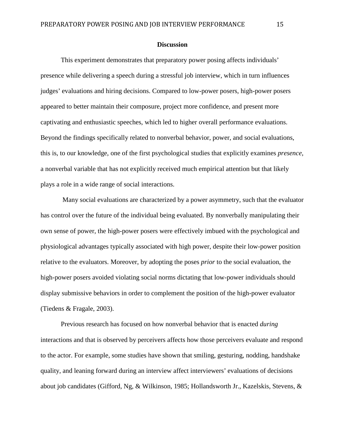#### **Discussion**

This experiment demonstrates that preparatory power posing affects individuals' presence while delivering a speech during a stressful job interview, which in turn influences judges' evaluations and hiring decisions. Compared to low-power posers, high-power posers appeared to better maintain their composure, project more confidence, and present more captivating and enthusiastic speeches, which led to higher overall performance evaluations. Beyond the findings specifically related to nonverbal behavior, power, and social evaluations, this is, to our knowledge, one of the first psychological studies that explicitly examines *presence*, a nonverbal variable that has not explicitly received much empirical attention but that likely plays a role in a wide range of social interactions.

Many social evaluations are characterized by a power asymmetry, such that the evaluator has control over the future of the individual being evaluated. By nonverbally manipulating their own sense of power, the high-power posers were effectively imbued with the psychological and physiological advantages typically associated with high power, despite their low-power position relative to the evaluators. Moreover, by adopting the poses *prior* to the social evaluation, the high-power posers avoided violating social norms dictating that low-power individuals should display submissive behaviors in order to complement the position of the high-power evaluator (Tiedens & Fragale, 2003).

Previous research has focused on how nonverbal behavior that is enacted *during* interactions and that is observed by perceivers affects how those perceivers evaluate and respond to the actor. For example, some studies have shown that smiling, gesturing, nodding, handshake quality, and leaning forward during an interview affect interviewers' evaluations of decisions about job candidates (Gifford, Ng, & Wilkinson, 1985; Hollandsworth Jr., Kazelskis, Stevens, &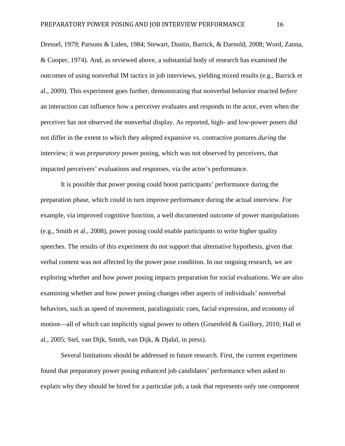Dressel, 1979; Parsons & Liden, 1984; Stewart, Dustin, Barrick, & Darnold, 2008; Word, Zanna, & Cooper, 1974). And, as reviewed above, a substantial body of research has examined the outcomes of using nonverbal IM tactics in job interviews, yielding mixed results (e.g., Barrick et al., 2009). This experiment goes further, demonstrating that nonverbal behavior enacted *before* an interaction can influence how a perceiver evaluates and responds to the actor, even when the perceiver has not observed the nonverbal display. As reported, high- and low-power posers did not differ in the extent to which they adopted expansive vs. contractive postures *during* the interview; it was *preparatory* power posing, which was not observed by perceivers, that impacted perceivers' evaluations and responses, via the actor's performance.

It is possible that power posing could boost participants' performance during the preparation phase, which could in turn improve performance during the actual interview. For example, via improved cognitive function, a well documented outcome of power manipulations (e.g., Smith et al., 2008), power posing could enable participants to write higher quality speeches. The results of this experiment do not support that alternative hypothesis, given that verbal content was not affected by the power pose condition. In our ongoing research, we are exploring whether and how power posing impacts preparation for social evaluations. We are also examining whether and how power posing changes other aspects of individuals' nonverbal behaviors, such as speed of movement, paralinguistic cues, facial expression, and economy of motion—all of which can implicitly signal power to others (Gruenfeld & Guillory, 2010; Hall et al., 2005; Stel, van Dijk, Smith, van Dijk, & Djalal, in press).

Several limitations should be addressed in future research. First, the current experiment found that preparatory power posing enhanced job candidates' performance when asked to explain why they should be hired for a particular job, a task that represents only one component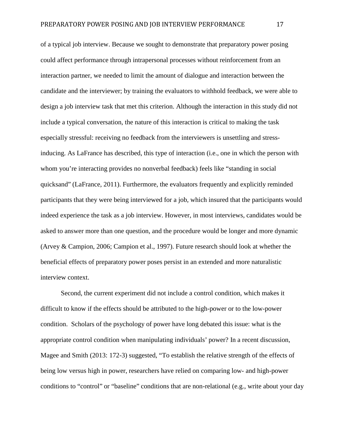of a typical job interview. Because we sought to demonstrate that preparatory power posing could affect performance through intrapersonal processes without reinforcement from an interaction partner, we needed to limit the amount of dialogue and interaction between the candidate and the interviewer; by training the evaluators to withhold feedback, we were able to design a job interview task that met this criterion. Although the interaction in this study did not include a typical conversation, the nature of this interaction is critical to making the task especially stressful: receiving no feedback from the interviewers is unsettling and stressinducing. As LaFrance has described, this type of interaction (i.e., one in which the person with whom you're interacting provides no nonverbal feedback) feels like "standing in social quicksand" (LaFrance, 2011). Furthermore, the evaluators frequently and explicitly reminded participants that they were being interviewed for a job, which insured that the participants would indeed experience the task as a job interview. However, in most interviews, candidates would be asked to answer more than one question, and the procedure would be longer and more dynamic (Arvey & Campion, 2006; Campion et al., 1997). Future research should look at whether the beneficial effects of preparatory power poses persist in an extended and more naturalistic interview context.

Second, the current experiment did not include a control condition, which makes it difficult to know if the effects should be attributed to the high-power or to the low-power condition. Scholars of the psychology of power have long debated this issue: what is the appropriate control condition when manipulating individuals' power? In a recent discussion, Magee and Smith (2013: 172-3) suggested, "To establish the relative strength of the effects of being low versus high in power, researchers have relied on comparing low- and high-power conditions to "control" or "baseline" conditions that are non-relational (e.g., write about your day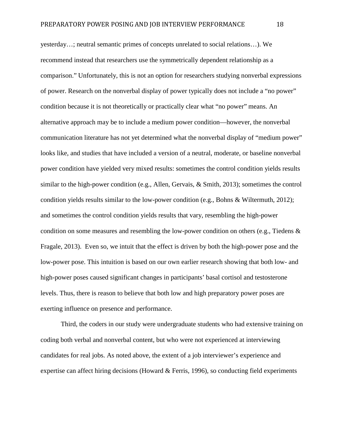yesterday…; neutral semantic primes of concepts unrelated to social relations…). We recommend instead that researchers use the symmetrically dependent relationship as a comparison." Unfortunately, this is not an option for researchers studying nonverbal expressions of power. Research on the nonverbal display of power typically does not include a "no power" condition because it is not theoretically or practically clear what "no power" means. An alternative approach may be to include a medium power condition—however, the nonverbal communication literature has not yet determined what the nonverbal display of "medium power" looks like, and studies that have included a version of a neutral, moderate, or baseline nonverbal power condition have yielded very mixed results: sometimes the control condition yields results similar to the high-power condition (e.g., Allen, Gervais, & Smith, 2013); sometimes the control condition yields results similar to the low-power condition (e.g., Bohns & Wiltermuth, 2012); and sometimes the control condition yields results that vary, resembling the high-power condition on some measures and resembling the low-power condition on others (e.g., Tiedens & Fragale, 2013). Even so, we intuit that the effect is driven by both the high-power pose and the low-power pose. This intuition is based on our own earlier research showing that both low- and high-power poses caused significant changes in participants' basal cortisol and testosterone levels. Thus, there is reason to believe that both low and high preparatory power poses are exerting influence on presence and performance.

Third, the coders in our study were undergraduate students who had extensive training on coding both verbal and nonverbal content, but who were not experienced at interviewing candidates for real jobs. As noted above, the extent of a job interviewer's experience and expertise can affect hiring decisions (Howard & Ferris, 1996), so conducting field experiments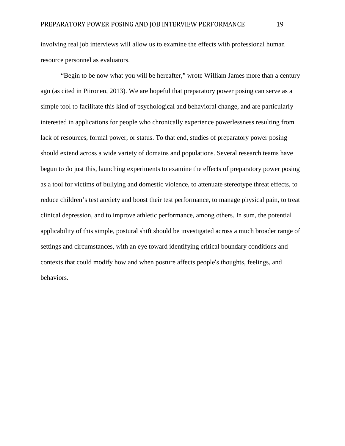involving real job interviews will allow us to examine the effects with professional human resource personnel as evaluators.

"Begin to be now what you will be hereafter," wrote William James more than a century ago (as cited in Piironen, 2013). We are hopeful that preparatory power posing can serve as a simple tool to facilitate this kind of psychological and behavioral change, and are particularly interested in applications for people who chronically experience powerlessness resulting from lack of resources, formal power, or status. To that end, studies of preparatory power posing should extend across a wide variety of domains and populations. Several research teams have begun to do just this, launching experiments to examine the effects of preparatory power posing as a tool for victims of bullying and domestic violence, to attenuate stereotype threat effects, to reduce children's test anxiety and boost their test performance, to manage physical pain, to treat clinical depression, and to improve athletic performance, among others. In sum, the potential applicability of this simple, postural shift should be investigated across a much broader range of settings and circumstances, with an eye toward identifying critical boundary conditions and contexts that could modify how and when posture affects people's thoughts, feelings, and behaviors.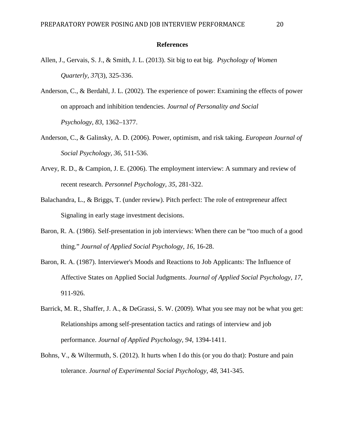#### **References**

- Allen, J., Gervais, S. J., & Smith, J. L. (2013). Sit big to eat big. *Psychology of Women Quarterly, 37*(3), 325-336.
- Anderson, C., & Berdahl, J. L. (2002). The experience of power: Examining the effects of power on approach and inhibition tendencies. *Journal of Personality and Social Psychology*, *83*, 1362–1377.
- Anderson, C., & Galinsky, A. D. (2006). Power, optimism, and risk taking. *European Journal of Social Psychology, 36*, 511-536.
- Arvey, R. D., & Campion, J. E. (2006). The employment interview: A summary and review of recent research. *Personnel Psychology, 35*, 281-322.
- Balachandra, L., & Briggs, T. (under review). Pitch perfect: The role of entrepreneur affect Signaling in early stage investment decisions.
- Baron, R. A. (1986). Self-presentation in job interviews: When there can be "too much of a good thing." *Journal of Applied Social Psychology, 16,* 16-28.
- Baron, R. A. (1987). Interviewer's Moods and Reactions to Job Applicants: The Influence of Affective States on Applied Social Judgments. *Journal of Applied Social Psychology, 17,* 911-926.
- Barrick, M. R., Shaffer, J. A., & DeGrassi, S. W. (2009). What you see may not be what you get: Relationships among self-presentation tactics and ratings of interview and job performance. *Journal of Applied Psychology, 94,* 1394-1411.
- Bohns, V., & Wiltermuth, S. (2012). It hurts when I do this (or you do that): Posture and pain tolerance. *Journal of Experimental Social Psychology, 48*, 341-345.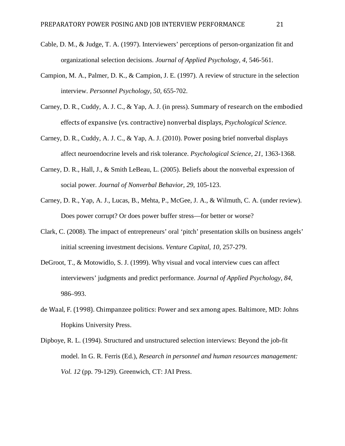- Cable, D. M., & Judge, T. A. (1997). Interviewers' perceptions of person-organization fit and organizational selection decisions. *Journal of Applied Psychology, 4,* 546-561.
- Campion, M. A., Palmer, D. K., & Campion, J. E. (1997). A review of structure in the selection interview. *Personnel Psychology, 50,* 655-702.
- Carney, D. R., Cuddy, A. J. C., & Yap, A. J. (in press). Summary of research on the embodied effects of expansive (vs. contractive) nonverbal displays, *Psychological Science.*
- Carney, D. R., Cuddy, A. J. C., & Yap, A. J. (2010). Power posing brief nonverbal displays affect neuroendocrine levels and risk tolerance. *Psychological Science, 21*, 1363-1368.
- Carney, D. R., Hall, J., & Smith LeBeau, L. (2005). Beliefs about the nonverbal expression of social power. *Journal of Nonverbal Behavior, 29*, 105-123.
- Carney, D. R., Yap, A. J., Lucas, B., Mehta, P., McGee, J. A., & Wilmuth, C. A. (under review). Does power corrupt? Or does power buffer stress—for better or worse?
- Clark, C. (2008). The impact of entrepreneurs' oral 'pitch' presentation skills on business angels' initial screening investment decisions. *Venture Capital, 10,* 257-279.
- DeGroot, T., & Motowidlo, S. J. (1999). Why visual and vocal interview cues can affect interviewers' judgments and predict performance. *Journal of Applied Psychology, 84,* 986–993.
- de Waal, F. (1998). Chimpanzee politics: Power and sex among apes. Baltimore, MD: Johns Hopkins University Press.
- Dipboye, R. L. (1994). Structured and unstructured selection interviews: Beyond the job-fit model. In G. R. Ferris (Ed.), *Research in personnel and human resources management: Vol. 12* (pp. 79-129). Greenwich, CT: JAI Press.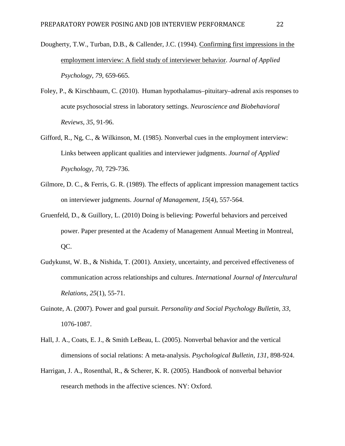- Dougherty, T.W., Turban, D.B., & Callender, J.C. (1994). Confirming first [impressions](https://business.missouri.edu/sites/default/files/publication/dougherty_turban_callender_1994_jap.pdf) in the [employment](https://business.missouri.edu/sites/default/files/publication/dougherty_turban_callender_1994_jap.pdf) interview: A field study of interviewer behavior. *Journal of Applied Psychology*, *79*, 659-665.
- Foley, P., & Kirschbaum, C. (2010). Human hypothalamus–pituitary–adrenal axis responses to acute psychosocial stress in laboratory settings. *Neuroscience and Biobehavioral Reviews, 35,* 91-96.
- Gifford, R., Ng, C., & Wilkinson, M. (1985). Nonverbal cues in the employment interview: Links between applicant qualities and interviewer judgments. *Journal of Applied Psychology, 70,* 729-736.
- Gilmore, D. C., & Ferris, G. R. (1989). The effects of applicant impression management tactics on interviewer judgments. *Journal of Management, 15*(4), 557-564.
- Gruenfeld, D., & Guillory, L. (2010) Doing is believing: Powerful behaviors and perceived power. Paper presented at the Academy of Management Annual Meeting in Montreal, QC.
- Gudykunst, W. B., & Nishida, T. (2001). Anxiety, uncertainty, and perceived effectiveness of communication across relationships and cultures. *International Journal of Intercultural Relations, 25*(1), 55-71.
- Guinote, A. (2007). Power and goal pursuit. *Personality and Social Psychology Bulletin, 33*, 1076-1087.
- Hall, J. A., Coats, E. J., & Smith LeBeau, L. (2005). Nonverbal behavior and the vertical dimensions of social relations: A meta-analysis. *Psychological Bulletin, 131*, 898-924.
- Harrigan, J. A., Rosenthal, R., & Scherer, K. R. (2005). Handbook of nonverbal behavior research methods in the affective sciences. NY: Oxford.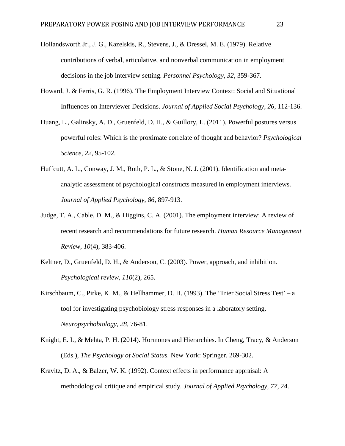- Hollandsworth Jr., J. G., Kazelskis, R., Stevens, J., & Dressel, M. E. (1979). Relative contributions of verbal, articulative, and nonverbal communication in employment decisions in the job interview setting. *Personnel Psychology, 32,* 359-367.
- Howard, J. & Ferris, G. R. (1996). The Employment Interview Context: Social and Situational Influences on Interviewer Decisions. *Journal of Applied Social Psychology, 26*, 112-136.
- Huang, L., Galinsky, A. D., Gruenfeld, D. H., & Guillory, L. (2011). Powerful postures versus powerful roles: Which is the proximate correlate of thought and behavior? *Psychological Science, 22*, 95-102.
- Huffcutt, A. L., Conway, J. M., Roth, P. L., & Stone, N. J. (2001). Identification and metaanalytic assessment of psychological constructs measured in employment interviews. *Journal of Applied Psychology, 86*, 897-913.
- Judge, T. A., Cable, D. M., & Higgins, C. A. (2001). The employment interview: A review of recent research and recommendations for future research. *Human Resource Management Review, 10*(4), 383-406.
- Keltner, D., Gruenfeld, D. H., & Anderson, C. (2003). Power, approach, and inhibition. *Psychological review, 110*(2), 265.
- Kirschbaum, C., Pirke, K. M., & Hellhammer, D. H. (1993). The 'Trier Social Stress Test' a tool for investigating psychobiology stress responses in a laboratory setting. *Neuropsychobiology, 28,* 76-81.
- Knight, E. L, & Mehta, P. H. (2014). Hormones and Hierarchies. In Cheng, Tracy, & Anderson (Eds.), *The Psychology of Social Status.* New York: Springer. 269-302.
- Kravitz, D. A., & Balzer, W. K. (1992). Context effects in performance appraisal: A methodological critique and empirical study. *Journal of Applied Psychology, 77*, 24.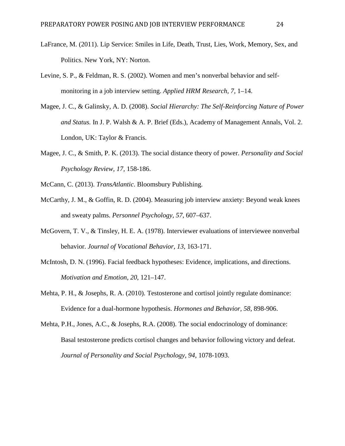- LaFrance, M. (2011). Lip Service: Smiles in Life, Death, Trust, Lies, Work, Memory, Sex, and Politics. New York, NY: Norton.
- Levine, S. P., & Feldman, R. S. (2002). Women and men's nonverbal behavior and selfmonitoring in a job interview setting. *Applied HRM Research, 7,* 1–14.
- Magee, J. C., & Galinsky, A. D. (2008). *Social Hierarchy: The Self-Reinforcing Nature of Power and Status.* In J. P. Walsh & A. P. Brief (Eds.), Academy of Management Annals, Vol. 2. London, UK: Taylor & Francis.
- Magee, J. C., & Smith, P. K. (2013). The social distance theory of power. *Personality and Social Psychology Review, 17,* 158-186.
- McCann, C. (2013). *TransAtlantic*. Bloomsbury Publishing.
- McCarthy, J. M., & Goffin, R. D. (2004). Measuring job interview anxiety: Beyond weak knees and sweaty palms. *Personnel Psychology, 57*, 607–637.
- McGovern, T. V., & Tinsley, H. E. A. (1978). Interviewer evaluations of interviewee nonverbal behavior. *Journal of Vocational Behavior, 13,* 163-171.
- McIntosh, D. N. (1996). Facial feedback hypotheses: Evidence, implications, and directions. *Motivation and Emotion, 20*, 121–147.
- Mehta, P. H., & Josephs, R. A. (2010). Testosterone and cortisol jointly regulate dominance: Evidence for a dual-hormone hypothesis. *Hormones and Behavior, 58,* 898-906.
- Mehta, P.H., Jones, A.C., & Josephs, R.A. (2008). The social endocrinology of dominance: Basal testosterone predicts cortisol changes and behavior following victory and defeat. *Journal of Personality and Social Psychology, 94,* 1078-1093.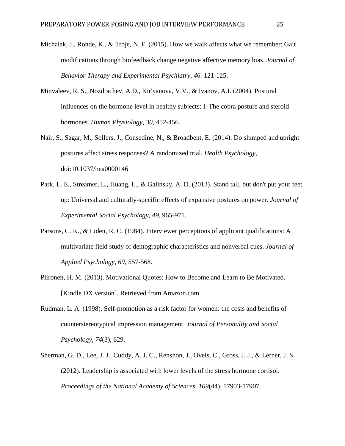- Michalak, J., Rohde, K., & Troje, N. F. (2015). How we walk affects what we remember: Gait modifications through biofeedback change negative affective memory bias. *Journal of Behavior Therapy and Experimental Psychiatry, 46.* 121-125.
- Minvaleev, R. S., Nozdrachev, A.D., Kir'yanova, V.V., & Ivanov, A.I. (2004). Postural influences on the hormone level in healthy subjects: I. The cobra posture and steroid hormones. *Human Physiology, 30,* 452-456.
- Nair, S., Sagar, M., Sollers, J., Consedine, N., & Broadbent, E. (2014). Do slumped and upright postures affect stress responses? A randomized trial. *Health Psychology*, doi:10.1037/hea0000146
- Park, L. E., Streamer, L., Huang, L., & Galinsky, A. D. (2013). Stand tall, but don't put your feet up: Universal and culturally-specific effects of expansive postures on power. *Journal of Experimental Social Psychology, 49*, 965-971.
- Parsons, C. K., & Liden, R. C. (1984). Interviewer perceptions of applicant qualifications: A multivariate field study of demographic characteristics and nonverbal cues. *Journal of Applied Psychology, 69,* 557-568.
- Piironen, H. M. (2013). Motivational Quotes: How to Become and Learn to Be Motivated. [Kindle DX version]. Retrieved from Amazon.com
- Rudman, L. A. (1998). Self-promotion as a risk factor for women: the costs and benefits of counterstereotypical impression management. *Journal of Personality and Social Psychology, 74*(3), 629.
- Sherman, G. D., Lee, J. J., Cuddy, A. J. C., Renshon, J., Oveis, C., Gross, J. J., & Lerner, J. S. (2012). Leadership is associated with lower levels of the stress hormone cortisol. *Proceedings of the National Academy of Sciences, 109*(44), 17903-17907.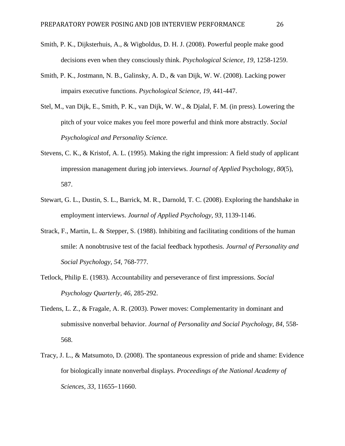- Smith, P. K., Dijksterhuis, A., & Wigboldus, D. H. J. (2008). Powerful people make good decisions even when they consciously think. *Psychological Science, 19,* 1258-1259.
- Smith, P. K., Jostmann, N. B., Galinsky, A. D., & van Dijk, W. W. (2008). Lacking power impairs executive functions. *Psychological Science, 19,* 441-447.
- Stel, M., van Dijk, E., Smith, P. K., van Dijk, W. W., & Djalal, F. M. (in press). Lowering the pitch of your voice makes you feel more powerful and think more abstractly. *Social Psychological and Personality Science.*
- Stevens, C. K., & Kristof, A. L. (1995). Making the right impression: A field study of applicant impression management during job interviews. *Journal of Applied* Psychology*, 80*(5), 587.
- Stewart, G. L., Dustin, S. L., Barrick, M. R., Darnold, T. C. (2008). Exploring the handshake in employment interviews. *Journal of Applied Psychology, 93,* 1139-1146.
- Strack, F., Martin, L. & Stepper, S. (1988). Inhibiting and facilitating conditions of the human smile: A nonobtrusive test of the facial feedback hypothesis. *Journal of Personality and Social Psychology, 54*, 768-777.
- Tetlock, Philip E. (1983). Accountability and perseverance of first impressions. *Social Psychology Quarterly, 46*, 285-292.
- Tiedens, L. Z., & Fragale, A. R. (2003). Power moves: Complementarity in dominant and submissive nonverbal behavior. *Journal of Personality and Social Psychology, 84,* 558- 568.
- Tracy, J. L., & Matsumoto, D. (2008). The spontaneous expression of pride and shame: Evidence for biologically innate nonverbal displays. *Proceedings of the National Academy of Sciences, 33,* 11655–11660.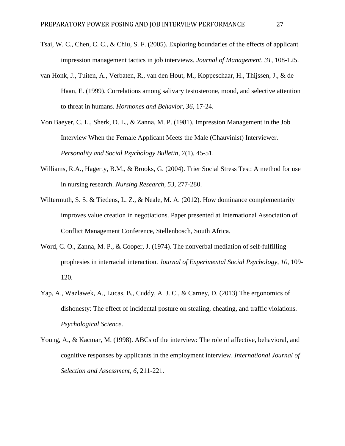- Tsai, W. C., Chen, C. C., & Chiu, S. F. (2005). Exploring boundaries of the effects of applicant impression management tactics in job interviews. *Journal of Management, 31*, 108-125.
- van Honk, J., Tuiten, A., Verbaten, R., van den Hout, M., Koppeschaar, H., Thijssen, J., & de Haan, E. (1999). Correlations among salivary testosterone, mood, and selective attention to threat in humans. *Hormones and Behavior, 36,* 17-24.
- Von Baeyer, C. L., Sherk, D. L., & Zanna, M. P. (1981). Impression Management in the Job Interview When the Female Applicant Meets the Male (Chauvinist) Interviewer. *Personality and Social Psychology Bulletin, 7*(1), 45-51.
- Williams, R.A., Hagerty, B.M., & Brooks, G. (2004). Trier Social Stress Test: A method for use in nursing research. *Nursing Research, 53*, 277-280.
- Wiltermuth, S. S. & Tiedens, L. Z., & Neale, M. A. (2012). How dominance complementarity improves value creation in negotiations. Paper presented at International Association of Conflict Management Conference, Stellenbosch, South Africa.
- Word, C. O., Zanna, M. P., & Cooper, J. (1974). The nonverbal mediation of self-fulfilling prophesies in interracial interaction. *Journal of Experimental Social Psychology, 10,* 109- 120.
- Yap, A., Wazlawek, A., Lucas, B., Cuddy, A. J. C., & Carney, D. (2013) The ergonomics of dishonesty: The effect of incidental posture on stealing, cheating, and traffic violations. *Psychological Science*.
- Young, A., & Kacmar, M. (1998). ABCs of the interview: The role of affective, behavioral, and cognitive responses by applicants in the employment interview. *International Journal of Selection and Assessment, 6*, 211-221.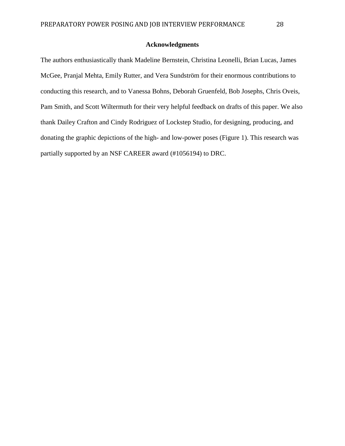### **Acknowledgments**

The authors enthusiastically thank Madeline Bernstein, Christina Leonelli, Brian Lucas, James McGee, Pranjal Mehta, Emily Rutter, and Vera Sundström for their enormous contributions to conducting this research, and to Vanessa Bohns, Deborah Gruenfeld, Bob Josephs, Chris Oveis, Pam Smith, and Scott Wiltermuth for their very helpful feedback on drafts of this paper. We also thank Dailey Crafton and Cindy Rodriguez of Lockstep Studio, for designing, producing, and donating the graphic depictions of the high- and low-power poses (Figure 1). This research was partially supported by an NSF CAREER award (#1056194) to DRC.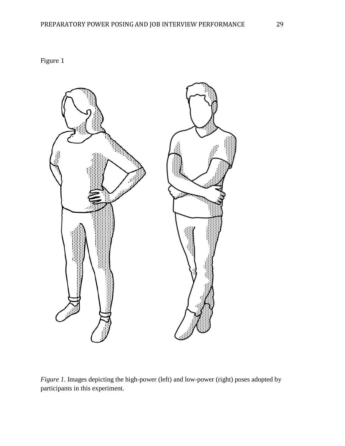Figure 1



*Figure 1*. Images depicting the high-power (left) and low-power (right) poses adopted by participants in this experiment.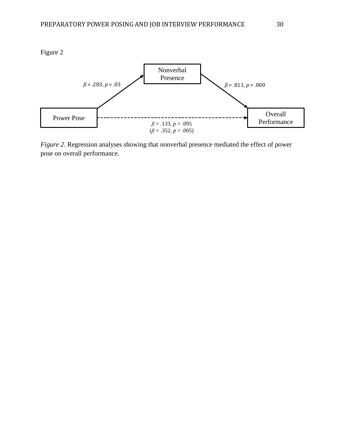

*Figure 2*. Regression analyses showing that nonverbal presence mediated the effect of power pose on overall performance.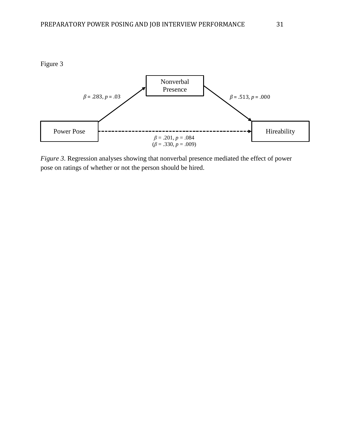



*Figure 3*. Regression analyses showing that nonverbal presence mediated the effect of power pose on ratings of whether or not the person should be hired.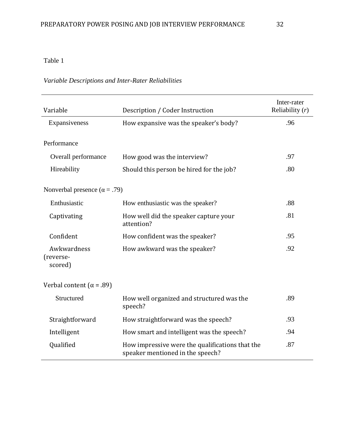## Table 1

### *Variable Descriptions and Inter-Rater Reliabilities*

| Variable                             | Inter-rater<br>Reliability $(r)$                                                    |     |
|--------------------------------------|-------------------------------------------------------------------------------------|-----|
| Expansiveness                        | How expansive was the speaker's body?                                               | .96 |
| Performance                          |                                                                                     |     |
| Overall performance                  | How good was the interview?                                                         | .97 |
| Hireability                          | Should this person be hired for the job?                                            | .80 |
| Nonverbal presence ( $\alpha$ = .79) |                                                                                     |     |
| Enthusiastic                         | How enthusiastic was the speaker?                                                   | .88 |
| Captivating                          | How well did the speaker capture your<br>attention?                                 | .81 |
| Confident                            | How confident was the speaker?                                                      | .95 |
| Awkwardness<br>(reverse-<br>scored)  | How awkward was the speaker?                                                        | .92 |
| Verbal content ( $\alpha$ = .89)     |                                                                                     |     |
| Structured                           | How well organized and structured was the<br>speech?                                | .89 |
| Straightforward                      | How straightforward was the speech?                                                 | .93 |
| Intelligent                          | How smart and intelligent was the speech?                                           | .94 |
| Qualified                            | How impressive were the qualifications that the<br>speaker mentioned in the speech? | .87 |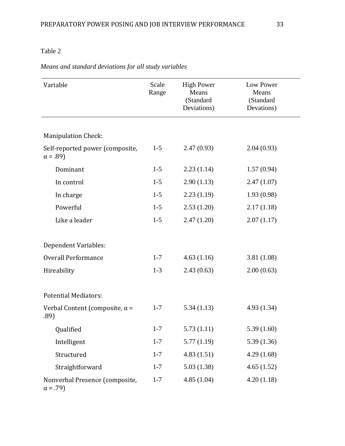## Table 2

# *Means and standard deviations for all study variables*

| Variable                                          | Scale<br>Range | <b>High Power</b><br>Means<br>(Standard<br>Deviations) | Low Power<br>Means<br>(Standard<br>Devations) |  |
|---------------------------------------------------|----------------|--------------------------------------------------------|-----------------------------------------------|--|
|                                                   |                |                                                        |                                               |  |
| <b>Manipulation Check:</b>                        |                |                                                        |                                               |  |
| Self-reported power (composite,<br>$\alpha = .89$ | $1 - 5$        | 2.47(0.93)                                             | 2.04(0.93)                                    |  |
| Dominant                                          | $1 - 5$        | 2.23(1.14)                                             | 1.57(0.94)                                    |  |
| In control                                        | $1 - 5$        | 2.90(1.13)                                             | 2.47(1.07)                                    |  |
| In charge                                         | $1 - 5$        | 2.23(1.19)                                             | 1.93(0.98)                                    |  |
| Powerful                                          | $1-5$          | 2.53(1.20)                                             | 2.17(1.18)                                    |  |
| Like a leader                                     | $1 - 5$        | 2.47(1.20)                                             | 2.07(1.17)                                    |  |
| Dependent Variables:                              |                |                                                        |                                               |  |
| <b>Overall Performance</b>                        | $1 - 7$        | 4.63(1.16)                                             | 3.81(1.08)                                    |  |
| Hireability                                       | $1 - 3$        | 2.43(0.63)                                             | 2.00(0.63)                                    |  |
| <b>Potential Mediators:</b>                       |                |                                                        |                                               |  |
| Verbal Content (composite, $\alpha$ =<br>.89)     | $1 - 7$        | 5.34(1.13)                                             | 4.93(1.34)                                    |  |
| Qualified                                         | $1 - 7$        | 5.73(1.11)                                             | 5.39(1.60)                                    |  |
| Intelligent                                       | $1 - 7$        | 5.77(1.19)                                             | 5.39(1.36)                                    |  |
| Structured                                        | $1 - 7$        | 4.83(1.51)                                             | 4.29(1.68)                                    |  |
| Straightforward                                   | $1 - 7$        | 5.03(1.38)                                             | 4.65(1.52)                                    |  |
| Nonverbal Presence (composite,<br>$\alpha = .79$  | $1 - 7$        | 4.85(1.04)                                             | 4.20(1.18)                                    |  |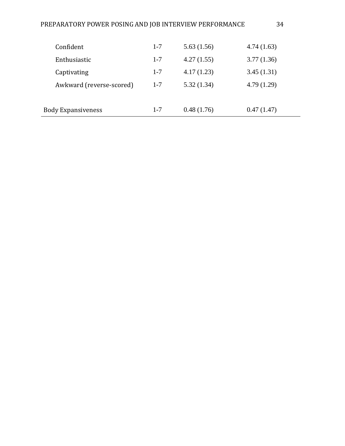| Confident                 | $1 - 7$ | 5.63(1.56) | 4.74(1.63) |
|---------------------------|---------|------------|------------|
| Enthusiastic              | $1 - 7$ | 4.27(1.55) | 3.77(1.36) |
| Captivating               | $1 - 7$ | 4.17(1.23) | 3.45(1.31) |
| Awkward (reverse-scored)  | $1 - 7$ | 5.32(1.34) | 4.79(1.29) |
|                           |         |            |            |
| <b>Body Expansiveness</b> | $1 - 7$ | 0.48(1.76) | 0.47(1.47) |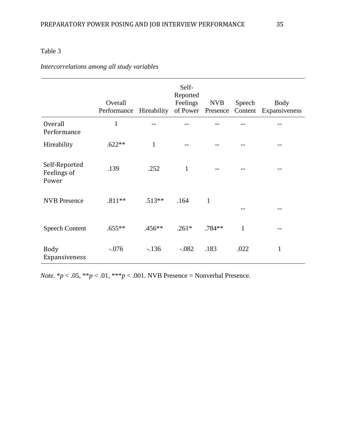## Table 3

# *Intercorrelations among all study variables*

|                                       | Overall<br>Performance | Hireability  | Self-<br>Reported<br>Feelings<br>of Power | <b>NVB</b><br>Presence | Speech<br>Content | <b>Body</b><br>Expansiveness |
|---------------------------------------|------------------------|--------------|-------------------------------------------|------------------------|-------------------|------------------------------|
| <b>Overall</b><br>Performance         | $\mathbf{1}$           |              |                                           |                        |                   |                              |
| Hireability                           | $.622**$               | $\mathbf{1}$ |                                           |                        |                   |                              |
| Self-Reported<br>Feelings of<br>Power | .139                   | .252         | $\mathbf{1}$                              |                        |                   |                              |
| <b>NVB</b> Presence                   | $.811**$               | $.513**$     | .164                                      | $\mathbf{1}$           |                   |                              |
| <b>Speech Content</b>                 | $.655**$               | $.456**$     | $.261*$                                   | .784**                 | $\mathbf{1}$      |                              |
| <b>Body</b><br>Expansiveness          | $-.076$                | $-136$       | $-.082$                                   | .183                   | .022              | $\mathbf{1}$                 |

*Note.*  $* p < .05$ ,  $** p < .01$ ,  $** p < .001$ . NVB Presence = Nonverbal Presence.